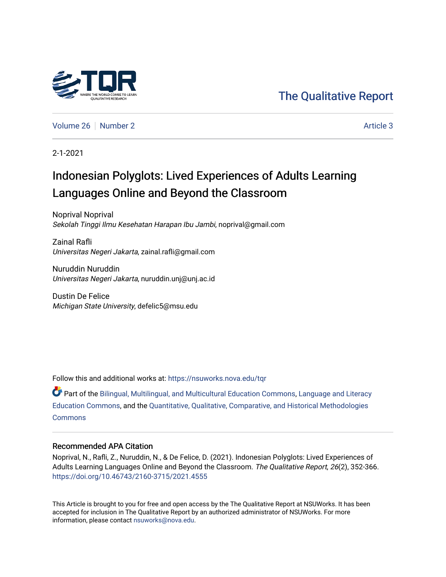

[The Qualitative Report](https://nsuworks.nova.edu/tqr) 

[Volume 26](https://nsuworks.nova.edu/tqr/vol26) [Number 2](https://nsuworks.nova.edu/tqr/vol26/iss2) Article 3

2-1-2021

# Indonesian Polyglots: Lived Experiences of Adults Learning Languages Online and Beyond the Classroom

Noprival Noprival Sekolah Tinggi Ilmu Kesehatan Harapan Ibu Jambi, noprival@gmail.com

Zainal Rafli Universitas Negeri Jakarta, zainal.rafli@gmail.com

Nuruddin Nuruddin Universitas Negeri Jakarta, nuruddin.unj@unj.ac.id

Dustin De Felice Michigan State University, defelic5@msu.edu

Follow this and additional works at: [https://nsuworks.nova.edu/tqr](https://nsuworks.nova.edu/tqr?utm_source=nsuworks.nova.edu%2Ftqr%2Fvol26%2Fiss2%2F3&utm_medium=PDF&utm_campaign=PDFCoverPages) 

Part of the [Bilingual, Multilingual, and Multicultural Education Commons,](http://network.bepress.com/hgg/discipline/785?utm_source=nsuworks.nova.edu%2Ftqr%2Fvol26%2Fiss2%2F3&utm_medium=PDF&utm_campaign=PDFCoverPages) [Language and Literacy](http://network.bepress.com/hgg/discipline/1380?utm_source=nsuworks.nova.edu%2Ftqr%2Fvol26%2Fiss2%2F3&utm_medium=PDF&utm_campaign=PDFCoverPages) [Education Commons,](http://network.bepress.com/hgg/discipline/1380?utm_source=nsuworks.nova.edu%2Ftqr%2Fvol26%2Fiss2%2F3&utm_medium=PDF&utm_campaign=PDFCoverPages) and the [Quantitative, Qualitative, Comparative, and Historical Methodologies](http://network.bepress.com/hgg/discipline/423?utm_source=nsuworks.nova.edu%2Ftqr%2Fvol26%2Fiss2%2F3&utm_medium=PDF&utm_campaign=PDFCoverPages)  **[Commons](http://network.bepress.com/hgg/discipline/423?utm_source=nsuworks.nova.edu%2Ftqr%2Fvol26%2Fiss2%2F3&utm_medium=PDF&utm_campaign=PDFCoverPages)** 

# Recommended APA Citation

Noprival, N., Rafli, Z., Nuruddin, N., & De Felice, D. (2021). Indonesian Polyglots: Lived Experiences of Adults Learning Languages Online and Beyond the Classroom. The Qualitative Report, 26(2), 352-366. <https://doi.org/10.46743/2160-3715/2021.4555>

This Article is brought to you for free and open access by the The Qualitative Report at NSUWorks. It has been accepted for inclusion in The Qualitative Report by an authorized administrator of NSUWorks. For more information, please contact [nsuworks@nova.edu.](mailto:nsuworks@nova.edu)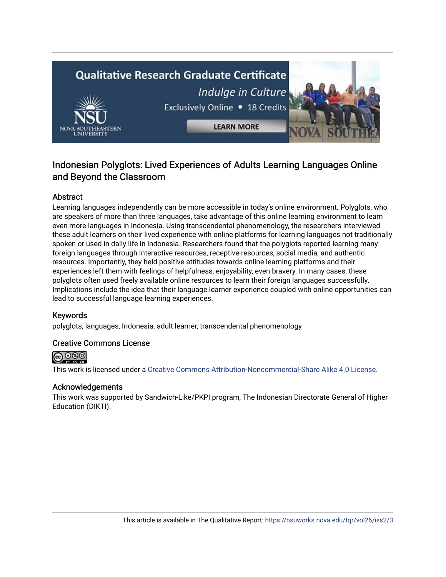# **Qualitative Research Graduate Certificate** Indulge in Culture Exclusively Online . 18 Credits **LEARN MORE**

# Indonesian Polyglots: Lived Experiences of Adults Learning Languages Online and Beyond the Classroom

# Abstract

Learning languages independently can be more accessible in today's online environment. Polyglots, who are speakers of more than three languages, take advantage of this online learning environment to learn even more languages in Indonesia. Using transcendental phenomenology, the researchers interviewed these adult learners on their lived experience with online platforms for learning languages not traditionally spoken or used in daily life in Indonesia. Researchers found that the polyglots reported learning many foreign languages through interactive resources, receptive resources, social media, and authentic resources. Importantly, they held positive attitudes towards online learning platforms and their experiences left them with feelings of helpfulness, enjoyability, even bravery. In many cases, these polyglots often used freely available online resources to learn their foreign languages successfully. Implications include the idea that their language learner experience coupled with online opportunities can lead to successful language learning experiences.

# Keywords

polyglots, languages, Indonesia, adult learner, transcendental phenomenology

# Creative Commons License



This work is licensed under a [Creative Commons Attribution-Noncommercial-Share Alike 4.0 License](https://creativecommons.org/licenses/by-nc-sa/4.0/).

# Acknowledgements

This work was supported by Sandwich-Like/PKPI program, The Indonesian Directorate General of Higher Education (DIKTI).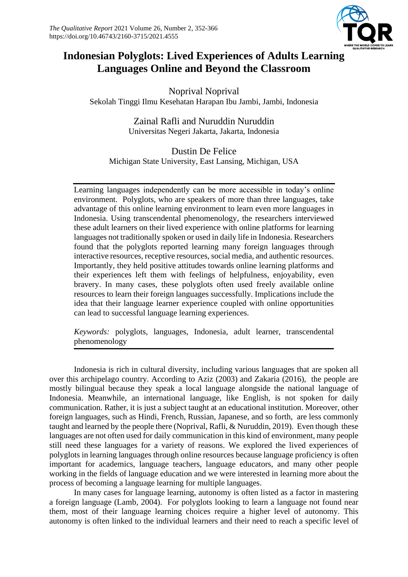

# **Indonesian Polyglots: Lived Experiences of Adults Learning Languages Online and Beyond the Classroom**

Noprival Noprival Sekolah Tinggi Ilmu Kesehatan Harapan Ibu Jambi, Jambi, Indonesia

> Zainal Rafli and Nuruddin Nuruddin Universitas Negeri Jakarta, Jakarta, Indonesia

Dustin De Felice Michigan State University, East Lansing, Michigan, USA

Learning languages independently can be more accessible in today's online environment. Polyglots, who are speakers of more than three languages, take advantage of this online learning environment to learn even more languages in Indonesia. Using transcendental phenomenology, the researchers interviewed these adult learners on their lived experience with online platforms for learning languages not traditionally spoken or used in daily life in Indonesia. Researchers found that the polyglots reported learning many foreign languages through interactive resources, receptive resources, social media, and authentic resources. Importantly, they held positive attitudes towards online learning platforms and their experiences left them with feelings of helpfulness, enjoyability, even bravery. In many cases, these polyglots often used freely available online resources to learn their foreign languages successfully. Implications include the idea that their language learner experience coupled with online opportunities can lead to successful language learning experiences.

*Keywords:* polyglots, languages, Indonesia, adult learner, transcendental phenomenology

Indonesia is rich in cultural diversity, including various languages that are spoken all over this archipelago country. According to Aziz (2003) and Zakaria (2016), the people are mostly bilingual because they speak a local language alongside the national language of Indonesia. Meanwhile, an international language, like English, is not spoken for daily communication. Rather, it is just a subject taught at an educational institution. Moreover, other foreign languages, such as Hindi, French, Russian, Japanese, and so forth, are less commonly taught and learned by the people there (Noprival, Rafli, & Nuruddin, 2019). Even though these languages are not often used for daily communication in this kind of environment, many people still need these languages for a variety of reasons. We explored the lived experiences of polyglots in learning languages through online resources because language proficiency is often important for academics, language teachers, language educators, and many other people working in the fields of language education and we were interested in learning more about the process of becoming a language learning for multiple languages.

In many cases for language learning, autonomy is often listed as a factor in mastering a foreign language (Lamb, 2004). For polyglots looking to learn a language not found near them, most of their language learning choices require a higher level of autonomy. This autonomy is often linked to the individual learners and their need to reach a specific level of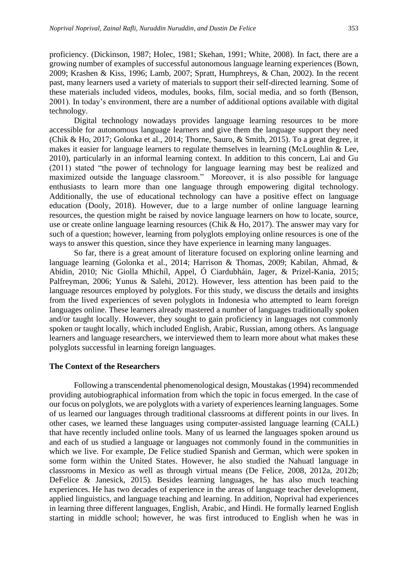proficiency. (Dickinson, 1987; Holec, 1981; Skehan, 1991; White, 2008). In fact, there are a growing number of examples of successful autonomous language learning experiences (Bown, 2009; Krashen & Kiss, 1996; Lamb, 2007; Spratt, Humphreys, & Chan, 2002). In the recent past, many learners used a variety of materials to support their self-directed learning. Some of these materials included videos, modules, books, film, social media, and so forth (Benson, 2001). In today's environment, there are a number of additional options available with digital technology.

Digital technology nowadays provides language learning resources to be more accessible for autonomous language learners and give them the language support they need (Chik & Ho, 2017; Golonka et al., 2014; Thorne, Sauro, & Smith, 2015). To a great degree, it makes it easier for language learners to regulate themselves in learning (McLoughlin & Lee, 2010), particularly in an informal learning context. In addition to this concern, Lai and Gu (2011) stated "the power of technology for language learning may best be realized and maximized outside the language classroom." Moreover, it is also possible for language enthusiasts to learn more than one language through empowering digital technology. Additionally, the use of educational technology can have a positive effect on language education (Dooly, 2018). However, due to a large number of online language learning resources, the question might be raised by novice language learners on how to locate, source, use or create online language learning resources (Chik & Ho, 2017). The answer may vary for such of a question; however, learning from polyglots employing online resources is one of the ways to answer this question, since they have experience in learning many languages.

So far, there is a great amount of literature focused on exploring online learning and language learning (Golonka et al., 2014; Harrison & Thomas, 2009; Kabilan, Ahmad, & Abidin, 2010; Nic Giolla Mhichíl, Appel, Ó Ciardubháin, Jager, & Prizel-Kania, 2015; Palfreyman, 2006; Yunus & Salehi, 2012). However, less attention has been paid to the language resources employed by polyglots. For this study, we discuss the details and insights from the lived experiences of seven polyglots in Indonesia who attempted to learn foreign languages online. These learners already mastered a number of languages traditionally spoken and/or taught locally. However, they sought to gain proficiency in languages not commonly spoken or taught locally, which included English, Arabic, Russian, among others. As language learners and language researchers, we interviewed them to learn more about what makes these polyglots successful in learning foreign languages.

#### **The Context of the Researchers**

Following a transcendental phenomenological design, Moustakas (1994) recommended providing autobiographical information from which the topic in focus emerged. In the case of our focus on polyglots, we are polyglots with a variety of experiences learning languages. Some of us learned our languages through traditional classrooms at different points in our lives. In other cases, we learned these languages using computer-assisted language learning (CALL) that have recently included online tools. Many of us learned the languages spoken around us and each of us studied a language or languages not commonly found in the communities in which we live. For example, De Felice studied Spanish and German, which were spoken in some form within the United States. However, he also studied the Nahuatl language in classrooms in Mexico as well as through virtual means (De Felice, 2008, 2012a, 2012b; DeFelice & Janesick, 2015). Besides learning languages, he has also much teaching experiences. He has two decades of experience in the areas of language teacher development, applied linguistics, and language teaching and learning. In addition, Noprival had experiences in learning three different languages, English, Arabic, and Hindi. He formally learned English starting in middle school; however, he was first introduced to English when he was in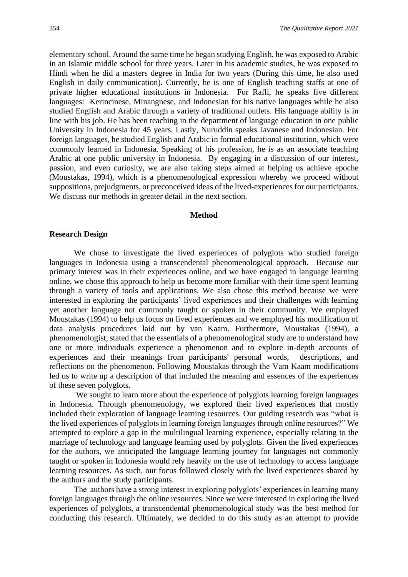elementary school. Around the same time he began studying English, he was exposed to Arabic in an Islamic middle school for three years. Later in his academic studies, he was exposed to Hindi when he did a masters degree in India for two years (During this time, he also used English in daily communication). Currently, he is one of English teaching staffs at one of private higher educational institutions in Indonesia. For Rafli, he speaks five different languages: Kerincinese, Minangnese, and Indonesian for his native languages while he also studied English and Arabic through a variety of traditional outlets. His language ability is in line with his job. He has been teaching in the department of language education in one public University in Indonesia for 45 years. Lastly, Nuruddin speaks Javanese and Indonesian. For foreign languages, he studied English and Arabic in formal educational institution, which were commonly learned in Indonesia. Speaking of his profession, he is as an associate teaching Arabic at one public university in Indonesia. By engaging in a discussion of our interest, passion, and even curiosity, we are also taking steps aimed at helping us achieve epoche (Moustakas, 1994), which is a phenomenological expression whereby we proceed without suppositions, prejudgments, or preconceived ideas of the lived-experiences for our participants. We discuss our methods in greater detail in the next section.

#### **Method**

#### **Research Design**

We chose to investigate the lived experiences of polyglots who studied foreign languages in Indonesia using a transcendental phenomenological approach. Because our primary interest was in their experiences online, and we have engaged in language learning online, we chose this approach to help us become more familiar with their time spent learning through a variety of tools and applications. We also chose this method because we were interested in exploring the participants' lived experiences and their challenges with learning yet another language not commonly taught or spoken in their community. We employed Moustakas (1994) to help us focus on lived experiences and we employed his modification of data analysis procedures laid out by van Kaam. Furthermore, Moustakas (1994), a phenomenologist, stated that the essentials of a phenomenological study are to understand how one or more individuals experience a phenomenon and to explore in-depth accounts of experiences and their meanings from participants' personal words, descriptions, and reflections on the phenomenon. Following Moustakas through the Vam Kaam modifications led us to write up a description of that included the meaning and essences of the experiences of these seven polyglots.

We sought to learn more about the experience of polyglots learning foreign languages in Indonesia. Through phenomenology, we explored their lived experiences that mostly included their exploration of language learning resources. Our guiding research was "what is the lived experiences of polyglots in learning foreign languages through online resources?" We attempted to explore a gap in the multilingual learning experience, especially relating to the marriage of technology and language learning used by polyglots. Given the lived experiences for the authors, we anticipated the language learning journey for languages not commonly taught or spoken in Indonesia would rely heavily on the use of technology to access language learning resources. As such, our focus followed closely with the lived experiences shared by the authors and the study participants.

The authors have a strong interest in exploring polyglots' experiences in learning many foreign languages through the online resources. Since we were interested in exploring the lived experiences of polyglots, a transcendental phenomenological study was the best method for conducting this research. Ultimately, we decided to do this study as an attempt to provide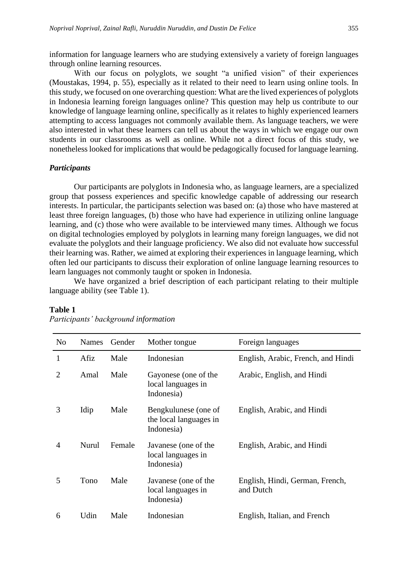information for language learners who are studying extensively a variety of foreign languages through online learning resources.

With our focus on polyglots, we sought "a unified vision" of their experiences (Moustakas, 1994, p. 55), especially as it related to their need to learn using online tools. In this study, we focused on one overarching question: What are the lived experiences of polyglots in Indonesia learning foreign languages online? This question may help us contribute to our knowledge of language learning online, specifically as it relates to highly experienced learners attempting to access languages not commonly available them. As language teachers, we were also interested in what these learners can tell us about the ways in which we engage our own students in our classrooms as well as online. While not a direct focus of this study, we nonetheless looked for implications that would be pedagogically focused for language learning.

#### *Participants*

Our participants are polyglots in Indonesia who, as language learners, are a specialized group that possess experiences and specific knowledge capable of addressing our research interests. In particular, the participants selection was based on: (a) those who have mastered at least three foreign languages, (b) those who have had experience in utilizing online language learning, and (c) those who were available to be interviewed many times. Although we focus on digital technologies employed by polyglots in learning many foreign languages, we did not evaluate the polyglots and their language proficiency. We also did not evaluate how successful their learning was. Rather, we aimed at exploring their experiences in language learning, which often led our participants to discuss their exploration of online language learning resources to learn languages not commonly taught or spoken in Indonesia.

We have organized a brief description of each participant relating to their multiple language ability (see Table 1).

| N <sub>o</sub> | <b>Names</b> | Gender | Mother tongue                                                | Foreign languages                            |
|----------------|--------------|--------|--------------------------------------------------------------|----------------------------------------------|
| 1              | Afiz         | Male   | Indonesian                                                   | English, Arabic, French, and Hindi           |
| $\overline{2}$ | Amal         | Male   | Gayonese (one of the<br>local languages in<br>Indonesia)     | Arabic, English, and Hindi                   |
| 3              | Idip         | Male   | Bengkulunese (one of<br>the local languages in<br>Indonesia) | English, Arabic, and Hindi                   |
| 4              | Nurul        | Female | Javanese (one of the<br>local languages in<br>Indonesia)     | English, Arabic, and Hindi                   |
| 5              | Tono         | Male   | Javanese (one of the<br>local languages in<br>Indonesia)     | English, Hindi, German, French,<br>and Dutch |
| 6              | Udin         | Male   | Indonesian                                                   | English, Italian, and French                 |

#### **Table 1**

*Participants' background information*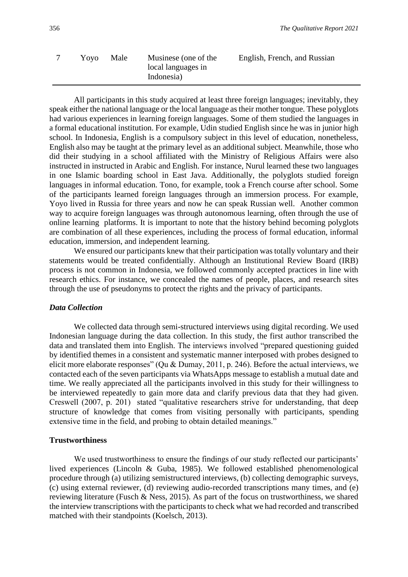| Yovo | Male | Musinese (one of the             | English, French, and Russian |  |
|------|------|----------------------------------|------------------------------|--|
|      |      | local languages in<br>Indonesia) |                              |  |
|      |      |                                  |                              |  |

All participants in this study acquired at least three foreign languages; inevitably, they speak either the national language or the local language as their mother tongue. These polyglots had various experiences in learning foreign languages. Some of them studied the languages in a formal educational institution. For example, Udin studied English since he was in junior high school. In Indonesia, English is a compulsory subject in this level of education, nonetheless, English also may be taught at the primary level as an additional subject. Meanwhile, those who did their studying in a school affiliated with the Ministry of Religious Affairs were also instructed in instructed in Arabic and English. For instance, Nurul learned these two languages in one Islamic boarding school in East Java. Additionally, the polyglots studied foreign languages in informal education. Tono, for example, took a French course after school. Some of the participants learned foreign languages through an immersion process. For example, Yoyo lived in Russia for three years and now he can speak Russian well. Another common way to acquire foreign languages was through autonomous learning, often through the use of online learning platforms. It is important to note that the history behind becoming polyglots are combination of all these experiences, including the process of formal education, informal education, immersion, and independent learning.

We ensured our participants knew that their participation was totally voluntary and their statements would be treated confidentially. Although an Institutional Review Board (IRB) process is not common in Indonesia, we followed commonly accepted practices in line with research ethics. For instance, we concealed the names of people, places, and research sites through the use of pseudonyms to protect the rights and the privacy of participants.

#### *Data Collection*

We collected data through semi-structured interviews using digital recording. We used Indonesian language during the data collection. In this study, the first author transcribed the data and translated them into English. The interviews involved "prepared questioning guided by identified themes in a consistent and systematic manner interposed with probes designed to elicit more elaborate responses" (Qu & Dumay, 2011, p. 246). Before the actual interviews, we contacted each of the seven participants via WhatsApps message to establish a mutual date and time. We really appreciated all the participants involved in this study for their willingness to be interviewed repeatedly to gain more data and clarify previous data that they had given. Creswell (2007, p. 201) stated "qualitative researchers strive for understanding, that deep structure of knowledge that comes from visiting personally with participants, spending extensive time in the field, and probing to obtain detailed meanings."

#### **Trustworthiness**

We used trustworthiness to ensure the findings of our study reflected our participants' lived experiences (Lincoln & Guba, 1985). We followed established phenomenological procedure through (a) utilizing semistructured interviews, (b) collecting demographic surveys, (c) using external reviewer, (d) reviewing audio-recorded transcriptions many times, and (e) reviewing literature (Fusch & Ness, 2015). As part of the focus on trustworthiness, we shared the interview transcriptions with the participants to check what we had recorded and transcribed matched with their standpoints (Koelsch, 2013).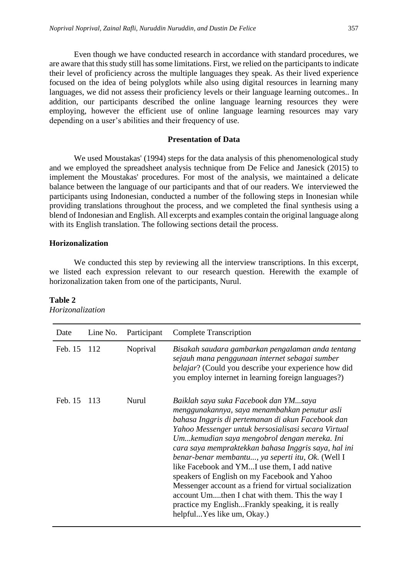Even though we have conducted research in accordance with standard procedures, we are aware that this study still has some limitations. First, we relied on the participants to indicate their level of proficiency across the multiple languages they speak. As their lived experience focused on the idea of being polyglots while also using digital resources in learning many languages, we did not assess their proficiency levels or their language learning outcomes.. In addition, our participants described the online language learning resources they were employing, however the efficient use of online language learning resources may vary depending on a user's abilities and their frequency of use.

## **Presentation of Data**

We used Moustakas' (1994) steps for the data analysis of this phenomenological study and we employed the spreadsheet analysis technique from De Felice and Janesick (2015) to implement the Moustakas' procedures. For most of the analysis, we maintained a delicate balance between the language of our participants and that of our readers. We interviewed the participants using Indonesian, conducted a number of the following steps in Inonesian while providing translations throughout the process, and we completed the final synthesis using a blend of Indonesian and English. All excerpts and examples contain the original language along with its English translation. The following sections detail the process.

## **Horizonalization**

We conducted this step by reviewing all the interview transcriptions. In this excerpt, we listed each expression relevant to our research question. Herewith the example of horizonalization taken from one of the participants, Nurul.

| Date        | Line No. | Participant | <b>Complete Transcription</b>                                                                                                                                                                                                                                                                                                                                                                                                                                                                                                                                                                                                                                    |
|-------------|----------|-------------|------------------------------------------------------------------------------------------------------------------------------------------------------------------------------------------------------------------------------------------------------------------------------------------------------------------------------------------------------------------------------------------------------------------------------------------------------------------------------------------------------------------------------------------------------------------------------------------------------------------------------------------------------------------|
| Feb. 15 112 |          | Noprival    | Bisakah saudara gambarkan pengalaman anda tentang<br>sejauh mana penggunaan internet sebagai sumber<br>belajar? (Could you describe your experience how did<br>you employ internet in learning foreign languages?)                                                                                                                                                                                                                                                                                                                                                                                                                                               |
| Feb. 15     | 113      | Nurul       | Baiklah saya suka Facebook dan YMsaya<br>menggunakannya, saya menambahkan penutur asli<br>bahasa Inggris di pertemanan di akun Facebook dan<br>Yahoo Messenger untuk bersosialisasi secara Virtual<br>Umkemudian saya mengobrol dengan mereka. Ini<br>cara saya mempraktekkan bahasa Inggris saya, hal ini<br>benar-benar membantu, ya seperti itu, Ok. (Well I<br>like Facebook and YMI use them, I add native<br>speakers of English on my Facebook and Yahoo<br>Messenger account as a friend for virtual socialization<br>account Umthen I chat with them. This the way I<br>practice my EnglishFrankly speaking, it is really<br>helpfulYes like um, Okay.) |

#### **Table 2** *Horizonalization*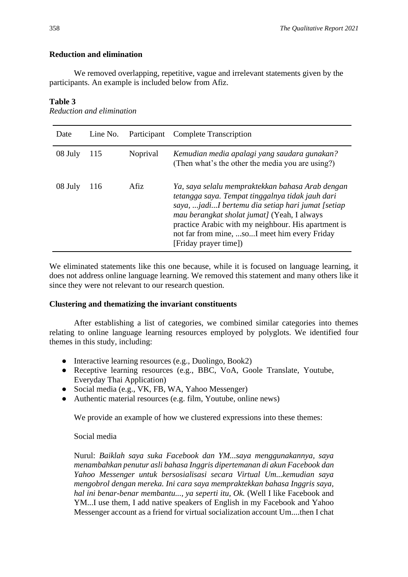# **Reduction and elimination**

We removed overlapping, repetitive, vague and irrelevant statements given by the participants. An example is included below from Afiz.

# **Table 3**

*Reduction and elimination*

| Date    | Line No. |          | Participant Complete Transcription                                                                                                                                                                                                                                                                                                       |
|---------|----------|----------|------------------------------------------------------------------------------------------------------------------------------------------------------------------------------------------------------------------------------------------------------------------------------------------------------------------------------------------|
| 08 July | 115      | Noprival | Kemudian media apalagi yang saudara gunakan?<br>(Then what's the other the media you are using?)                                                                                                                                                                                                                                         |
| 08 July | 116      | Afiz     | Ya, saya selalu mempraktekkan bahasa Arab dengan<br>tetangga saya. Tempat tinggalnya tidak jauh dari<br>saya, jadiI bertemu dia setiap hari jumat [setiap<br>mau berangkat sholat jumat] (Yeah, I always<br>practice Arabic with my neighbour. His apartment is<br>not far from mine, soI meet him every Friday<br>[Friday prayer time]) |

We eliminated statements like this one because, while it is focused on language learning, it does not address online language learning. We removed this statement and many others like it since they were not relevant to our research question.

# **Clustering and thematizing the invariant constituents**

After establishing a list of categories, we combined similar categories into themes relating to online language learning resources employed by polyglots. We identified four themes in this study, including:

- Interactive learning resources (e.g., Duolingo, Book2)
- Receptive learning resources (e.g., BBC, VoA, Goole Translate, Youtube, Everyday Thai Application)
- Social media (e.g., VK, FB, WA, Yahoo Messenger)
- Authentic material resources (e.g. film, Youtube, online news)

We provide an example of how we clustered expressions into these themes:

# Social media

Nurul: *Baiklah saya suka Facebook dan YM...saya menggunakannya, saya menambahkan penutur asli bahasa Inggris dipertemanan di akun Facebook dan Yahoo Messenger untuk bersosialisasi secara Virtual Um...kemudian saya mengobrol dengan mereka. Ini cara saya mempraktekkan bahasa Inggris saya, hal ini benar-benar membantu..., ya seperti itu, Ok.* (Well I like Facebook and YM...I use them, I add native speakers of English in my Facebook and Yahoo Messenger account as a friend for virtual socialization account Um....then I chat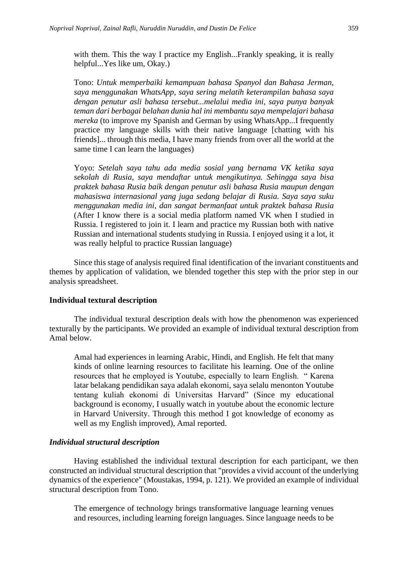with them. This the way I practice my English...Frankly speaking, it is really helpful...Yes like um, Okay.)

Tono: *Untuk memperbaiki kemampuan bahasa Spanyol dan Bahasa Jerman, saya menggunakan WhatsApp, saya sering melatih keterampilan bahasa saya dengan penutur asli bahasa tersebut...melalui media ini, saya punya banyak teman dari berbagai belahan dunia hal ini membantu saya mempelajari bahasa mereka* (to improve my Spanish and German by using WhatsApp...I frequently practice my language skills with their native language [chatting with his friends]... through this media, I have many friends from over all the world at the same time I can learn the languages)

Yoyo: *Setelah saya tahu ada media sosial yang bernama VK ketika saya sekolah di Rusia, saya mendaftar untuk mengikutinya. Sehingga saya bisa praktek bahasa Rusia baik dengan penutur asli bahasa Rusia maupun dengan mahasiswa internasional yang juga sedang belajar di Rusia. Saya saya suku menggunakan media ini, dan sangat bermanfaat untuk praktek bahasa Rusia* (After I know there is a social media platform named VK when I studied in Russia. I registered to join it. I learn and practice my Russian both with native Russian and international students studying in Russia. I enjoyed using it a lot, it was really helpful to practice Russian language)

Since this stage of analysis required final identification of the invariant constituents and themes by application of validation, we blended together this step with the prior step in our analysis spreadsheet.

#### **Individual textural description**

The individual textural description deals with how the phenomenon was experienced texturally by the participants. We provided an example of individual textural description from Amal below.

Amal had experiences in learning Arabic, Hindi, and English. He felt that many kinds of online learning resources to facilitate his learning. One of the online resources that he employed is Youtube, especially to learn English. " Karena latar belakang pendidikan saya adalah ekonomi, saya selalu menonton Youtube tentang kuliah ekonomi di Universitas Harvard" (Since my educational background is economy, I usually watch in youtube about the economic lecture in Harvard University. Through this method I got knowledge of economy as well as my English improved), Amal reported.

#### *Individual structural description*

Having established the individual textural description for each participant, we then constructed an individual structural description that "provides a vivid account of the underlying dynamics of the experience" (Moustakas, 1994, p. 121). We provided an example of individual structural description from Tono.

The emergence of technology brings transformative language learning venues and resources, including learning foreign languages. Since language needs to be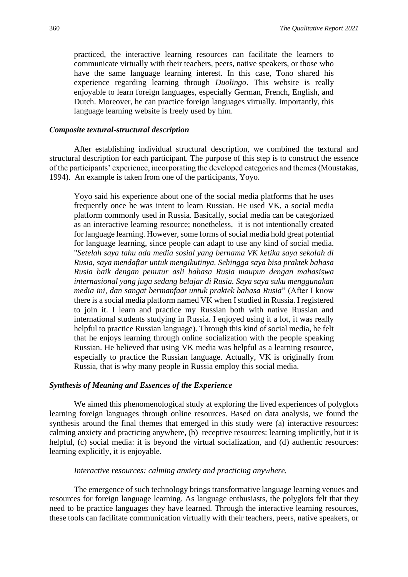practiced, the interactive learning resources can facilitate the learners to communicate virtually with their teachers, peers, native speakers, or those who have the same language learning interest. In this case, Tono shared his experience regarding learning through *Duolingo*. This website is really enjoyable to learn foreign languages, especially German, French, English, and Dutch. Moreover, he can practice foreign languages virtually. Importantly, this language learning website is freely used by him.

#### *Composite textural-structural description*

After establishing individual structural description, we combined the textural and structural description for each participant. The purpose of this step is to construct the essence of the participants' experience, incorporating the developed categories and themes (Moustakas, 1994). An example is taken from one of the participants, Yoyo.

Yoyo said his experience about one of the social media platforms that he uses frequently once he was intent to learn Russian. He used VK, a social media platform commonly used in Russia. Basically, social media can be categorized as an interactive learning resource; nonetheless, it is not intentionally created for language learning. However, some forms of social media hold great potential for language learning, since people can adapt to use any kind of social media. "*Setelah saya tahu ada media sosial yang bernama VK ketika saya sekolah di Rusia, saya mendaftar untuk mengikutinya. Sehingga saya bisa praktek bahasa Rusia baik dengan penutur asli bahasa Rusia maupun dengan mahasiswa internasional yang juga sedang belajar di Rusia. Saya saya suku menggunakan media ini, dan sangat bermanfaat untuk praktek bahasa Rusia*" (After I know there is a social media platform named VK when I studied in Russia. I registered to join it. I learn and practice my Russian both with native Russian and international students studying in Russia. I enjoyed using it a lot, it was really helpful to practice Russian language). Through this kind of social media, he felt that he enjoys learning through online socialization with the people speaking Russian. He believed that using VK media was helpful as a learning resource, especially to practice the Russian language. Actually, VK is originally from Russia, that is why many people in Russia employ this social media.

#### *Synthesis of Meaning and Essences of the Experience*

We aimed this phenomenological study at exploring the lived experiences of polyglots learning foreign languages through online resources. Based on data analysis, we found the synthesis around the final themes that emerged in this study were (a) interactive resources: calming anxiety and practicing anywhere, (b) receptive resources: learning implicitly, but it is helpful, (c) social media: it is beyond the virtual socialization, and (d) authentic resources: learning explicitly, it is enjoyable.

#### *Interactive resources: calming anxiety and practicing anywhere.*

The emergence of such technology brings transformative language learning venues and resources for foreign language learning. As language enthusiasts, the polyglots felt that they need to be practice languages they have learned. Through the interactive learning resources, these tools can facilitate communication virtually with their teachers, peers, native speakers, or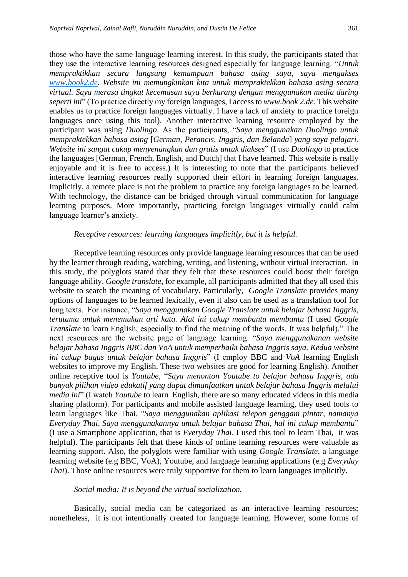those who have the same language learning interest. In this study, the participants stated that they use the interactive learning resources designed especially for language learning. "*Untuk mempraktikkan secara langsung kemampuan bahasa asing saya, saya mengakses [www.book2.de.](http://www.book2.de/) Website ini memungkinkan kita untuk mempraktekkan bahasa asing secara virtual. Saya merasa tingkat kecemasan saya berkurang dengan menggunakan media daring seperti ini*" (To practice directly my foreign languages, I access to *www.book 2.de.* This website enables us to practice foreign languages virtually. I have a lack of anxiety to practice foreign languages once using this tool). Another interactive learning resource employed by the participant was using *Duolingo*. As the participants, "*Saya menggunakan Duolingo untuk mempraktekkan bahasa asing* [*German, Perancis, Inggris, dan Belanda*] *yang saya pelajari. Website ini sangat cukup menyenangkan dan gratis untuk diakses*" (I use *Duolingo* to practice the languages [German, French, English, and Dutch] that I have learned. This website is really enjoyable and it is free to access.) It is interesting to note that the participants believed interactive learning resources really supported their effort in learning foreign languages. Implicitly, a remote place is not the problem to practice any foreign languages to be learned. With technology, the distance can be bridged through virtual communication for language learning purposes. More importantly, practicing foreign languages virtually could calm language learner's anxiety.

#### *Receptive resources: learning languages implicitly, but it is helpful.*

Receptive learning resources only provide language learning resources that can be used by the learner through reading, watching, writing, and listening, without virtual interaction. In this study, the polyglots stated that they felt that these resources could boost their foreign language ability. *Google translate*, for example, all participants admitted that they all used this website to search the meaning of vocabulary. Particularly, *Google Translate* provides many options of languages to be learned lexically, even it also can be used as a translation tool for long texts. For instance, "*Saya menggunakan Google Translate untuk belajar bahasa Inggris, terutama untuk menemukan arti kata. Alat ini cukup membantu membantu* (I used *Google Translate* to learn English, especially to find the meaning of the words. It was helpful)." The next resources are the website page of language learning. "*Saya menggunakanan website belajar bahasa Inggris BBC dan VoA untuk memperbaiki bahasa Inggris saya. Kedua website ini cukup bagus untuk belajar bahasa Inggris*" (I employ BBC and *VoA* learning English websites to improve my English. These two websites are good for learning English). Another online receptive tool is *Youtube*, "*Saya menonton Youtube to belajar bahasa Inggris, ada banyak pilihan video edukatif yang dapat dimanfaatkan untuk belajar bahasa Inggris melalui media ini*" (I watch *Youtube* to learn English, there are so many educated videos in this media sharing platform). For participants and mobile assisted language learning, they used tools to learn languages like Thai. "*Saya menggunakan aplikasi telepon genggam pintar, namanya Everyday Thai*. *Saya menggunakannya untuk belajar bahasa Thai, hal ini cukup membantu*" (I use a Smartphone application, that is *Everyday Thai*. I used this tool to learn Thai, it was helpful). The participants felt that these kinds of online learning resources were valuable as learning support. Also, the polyglots were familiar with using *Google Translate*, a language learning website (e.g BBC, VoA), Youtube, and language learning applications (e.g *Everyday Thai*). Those online resources were truly supportive for them to learn languages implicitly.

#### *Social media: It is beyond the virtual socialization.*

Basically, social media can be categorized as an interactive learning resources; nonetheless, it is not intentionally created for language learning. However, some forms of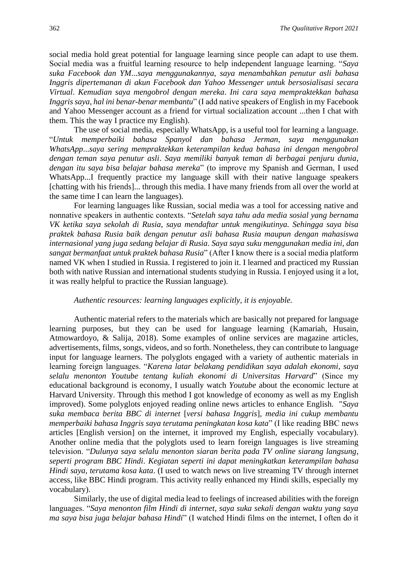social media hold great potential for language learning since people can adapt to use them. Social media was a fruitful learning resource to help independent language learning. "*Saya suka Facebook dan YM*...*saya menggunakannya, saya menambahkan penutur asli bahasa Inggris dipertemanan di akun Facebook dan Yahoo Messenger untuk bersosialisasi secara Virtual*. *Kemudian saya mengobrol dengan mereka*. *Ini cara saya mempraktekkan bahasa Inggris saya*, *hal ini benar-benar membantu*" (I add native speakers of English in my Facebook and Yahoo Messenger account as a friend for virtual socialization account ...then I chat with them. This the way I practice my English).

The use of social media, especially WhatsApp, is a useful tool for learning a language. "*Untuk memperbaiki bahasa Spanyol dan bahasa Jerman*, *saya menggunakan WhatsApp*...*saya sering mempraktekkan keterampilan kedua bahasa ini dengan mengobrol dengan teman saya penutur asli*. *Saya memiliki banyak teman di berbagai penjuru dunia*, *dengan itu saya bisa belajar bahasa mereka*" (to improve my Spanish and German, I used WhatsApp...I frequently practice my language skill with their native language speakers [chatting with his friends]... through this media. I have many friends from all over the world at the same time I can learn the languages).

For learning languages like Russian, social media was a tool for accessing native and nonnative speakers in authentic contexts. "*Setelah saya tahu ada media sosial yang bernama VK ketika saya sekolah di Rusia*, *saya mendaftar untuk mengikutinya. Sehingga saya bisa praktek bahasa Rusia baik dengan penutur asli bahasa Rusia maupun dengan mahasiswa internasional yang juga sedang belajar di Rusia*. *Saya saya suku menggunakan media ini, dan sangat bermanfaat untuk praktek bahasa Rusia*" (After I know there is a social media platform named VK when I studied in Russia. I registered to join it. I learned and practiced my Russian both with native Russian and international students studying in Russia. I enjoyed using it a lot, it was really helpful to practice the Russian language).

#### *Authentic resources: learning languages explicitly, it is enjoyable.*

Authentic material refers to the materials which are basically not prepared for language learning purposes, but they can be used for language learning (Kamariah, Husain, Atmowardoyo, & Salija, 2018). Some examples of online services are magazine articles, advertisements, films, songs, videos, and so forth. Nonetheless, they can contribute to language input for language learners. The polyglots engaged with a variety of authentic materials in learning foreign languages. "*Karena latar belakang pendidikan saya adalah ekonomi*, *saya selalu menonton Youtube tentang kuliah ekonomi di Universitas Harvard*" (Since my educational background is economy, I usually watch *Youtube* about the economic lecture at Harvard University. Through this method I got knowledge of economy as well as my English improved). Some polyglots enjoyed reading online news articles to enhance English. "*Saya suka membaca berita BBC di internet* [*versi bahasa Inggris*]*, media ini cukup membantu memperbaiki bahasa Inggris saya terutama peningkatan kosa kata*" (I like reading BBC news articles [English version] on the internet, it improved my English, especially vocabulary). Another online media that the polyglots used to learn foreign languages is live streaming television. "*Dulunya saya selalu menonton siaran berita pada TV online siarang langsung*, *seperti program BBC Hindi*. *Kegiatan seperti ini dapat meningkatkan keterampilan bahasa Hindi saya*, *terutama kosa kata*. (I used to watch news on live streaming TV through internet access, like BBC Hindi program. This activity really enhanced my Hindi skills, especially my vocabulary).

Similarly, the use of digital media lead to feelings of increased abilities with the foreign languages. "*Saya menonton film Hindi di internet, saya suka sekali dengan waktu yang saya ma saya bisa juga belajar bahasa Hindi*" (I watched Hindi films on the internet, I often do it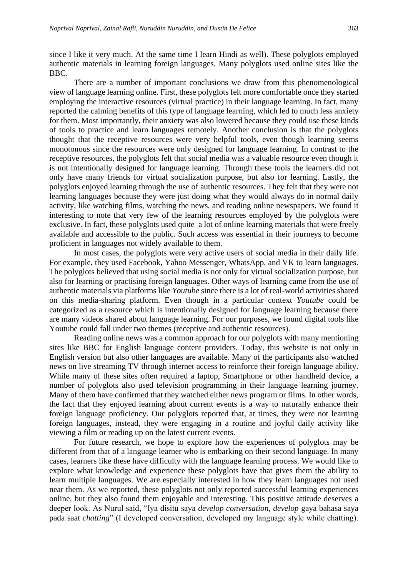since I like it very much. At the same time I learn Hindi as well). These polyglots employed authentic materials in learning foreign languages. Many polyglots used online sites like the BBC.

There are a number of important conclusions we draw from this phenomenological view of language learning online. First, these polyglots felt more comfortable once they started employing the interactive resources (virtual practice) in their language learning. In fact, many reported the calming benefits of this type of language learning, which led to much less anxiety for them. Most importantly, their anxiety was also lowered because they could use these kinds of tools to practice and learn languages remotely. Another conclusion is that the polyglots thought that the receptive resources were very helpful tools, even though learning seems monotonous since the resources were only designed for language learning. In contrast to the receptive resources, the polyglots felt that social media was a valuable resource even though it is not intentionally designed for language learning. Through these tools the learners did not only have many friends for virtual socialization purpose, but also for learning. Lastly, the polyglots enjoyed learning through the use of authentic resources. They felt that they were not learning languages because they were just doing what they would always do in normal daily activity, like watching films, watching the news, and reading online newspapers. We found it interesting to note that very few of the learning resources employed by the polyglots were exclusive. In fact, these polyglots used quite a lot of online learning materials that were freely available and accessible to the public. Such access was essential in their journeys to become proficient in languages not widely available to them.

In most cases, the polyglots were very active users of social media in their daily life. For example, they used Facebook, Yahoo Messenger, WhatsApp, and VK to learn languages. The polyglots believed that using social media is not only for virtual socialization purpose, but also for learning or practising foreign languages. Other ways of learning came from the use of authentic materials via platforms like *Youtube* since there is a lot of real-world activities shared on this media-sharing platform. Even though in a particular context *Youtube* could be categorized as a resource which is intentionally designed for language learning because there are many videos shared about language learning. For our purposes, we found digital tools like Youtube could fall under two themes (receptive and authentic resources).

Reading online news was a common approach for our polyglots with many mentioning sites like BBC for English language content providers. Today, this website is not only in English version but also other languages are available. Many of the participants also watched news on live streaming TV through internet access to reinforce their foreign language ability. While many of these sites often required a laptop, Smartphone or other handheld device, a number of polyglots also used television programming in their language learning journey. Many of them have confirmed that they watched either news program or films. In other words, the fact that they enjoyed learning about current events is a way to naturally enhance their foreign language proficiency. Our polyglots reported that, at times, they were not learning foreign languages, instead, they were engaging in a routine and joyful daily activity like viewing a film or reading up on the latest current events.

For future research, we hope to explore how the experiences of polyglots may be different from that of a language learner who is embarking on their second language. In many cases, learners like these have difficulty with the language learning process. We would like to explore what knowledge and experience these polyglots have that gives them the ability to learn multiple languages. We are especially interested in how they learn languages not used near them. As we reported, these polyglots not only reported successful learning experiences online, but they also found them enjoyable and interesting. This positive attitude deserves a deeper look. As Nurul said, "Iya disitu saya *develop conversation*, *develop* gaya bahasa saya pada saat *chatting*" (I developed conversation, developed my language style while chatting).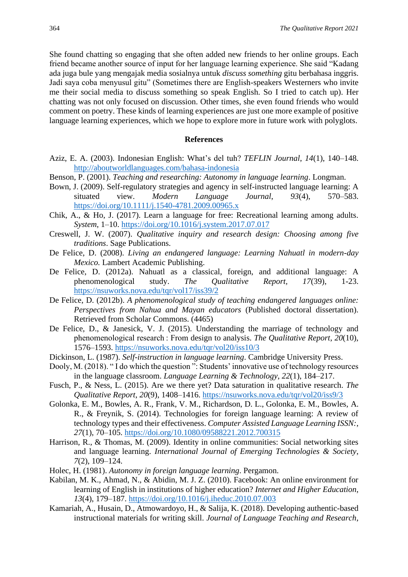She found chatting so engaging that she often added new friends to her online groups. Each friend became another source of input for her language learning experience. She said "Kadang ada juga bule yang mengajak media sosialnya untuk *discuss something* gitu berbahasa inggris. Jadi saya coba menyusul gitu" (Sometimes there are English-speakers Westerners who invite me their social media to discuss something so speak English. So I tried to catch up). Her chatting was not only focused on discussion. Other times, she even found friends who would comment on poetry. These kinds of learning experiences are just one more example of positive language learning experiences, which we hope to explore more in future work with polyglots.

### **References**

- Aziz, E. A. (2003). Indonesian English: What's del tuh? *TEFLIN Journal*, *14*(1), 140–148. <http://aboutworldlanguages.com/bahasa-indonesia>
- Benson, P. (2001). *Teaching and researching: Autonomy in language learning*. Longman.
- Bown, J. (2009). Self-regulatory strategies and agency in self-instructed language learning: A situated view. *Modern Language Journal*, *93*(4), 570–583. <https://doi.org/10.1111/j.1540-4781.2009.00965.x>
- Chik, A., & Ho, J. (2017). Learn a language for free: Recreational learning among adults. *System*, 1–10.<https://doi.org/10.1016/j.system.2017.07.017>
- Creswell, J. W. (2007). *Qualitative inquiry and research design: Choosing among five traditions*. Sage Publications.
- De Felice, D. (2008). *Living an endangered language: Learning Nahuatl in modern-day Mexico.* Lambert Academic Publishing.
- De Felice, D. (2012a). Nahuatl as a classical, foreign, and additional language: A phenomenological study. *The Qualitative Report, 17*(39), 1-23. <https://nsuworks.nova.edu/tqr/vol17/iss39/2>
- De Felice, D. (2012b). *A phenomenological study of teaching endangered languages online: Perspectives from Nahua and Mayan educators* (Published doctoral dissertation). Retrieved from Scholar Commons. (4465)
- De Felice, D., & Janesick, V. J. (2015). Understanding the marriage of technology and phenomenological research : From design to analysis. *The Qualitative Report*, *20*(10), 1576–1593. <https://nsuworks.nova.edu/tqr/vol20/iss10/3>
- Dickinson, L. (1987). *Self-instruction in language learning*. Cambridge University Press.
- Dooly, M. (2018). " I do which the question ": Students' innovative use of technology resources in the language classroom. *Language Learning & Technology*, *22*(1), 184–217.
- Fusch, P., & Ness, L. (2015). Are we there yet? Data saturation in qualitative research. *The Qualitative Report*, *20*(9), 1408–1416. <https://nsuworks.nova.edu/tqr/vol20/iss9/3>
- Golonka, E. M., Bowles, A. R., Frank, V. M., Richardson, D. L., Golonka, E. M., Bowles, A. R., & Freynik, S. (2014). Technologies for foreign language learning: A review of technology types and their effectiveness. *Computer Assisted Language Learning ISSN:*, *27*(1), 70–105.<https://doi.org/10.1080/09588221.2012.700315>
- Harrison, R., & Thomas, M. (2009). Identity in online communities: Social networking sites and language learning. *International Journal of Emerging Technologies & Society*, *7*(2), 109–124.
- Holec, H. (1981). *Autonomy in foreign language learning*. Pergamon.
- Kabilan, M. K., Ahmad, N., & Abidin, M. J. Z. (2010). Facebook: An online environment for learning of English in institutions of higher education? *Internet and Higher Education*, *13*(4), 179–187.<https://doi.org/10.1016/j.iheduc.2010.07.003>
- Kamariah, A., Husain, D., Atmowardoyo, H., & Salija, K. (2018). Developing authentic-based instructional materials for writing skill. *Journal of Language Teaching and Research*,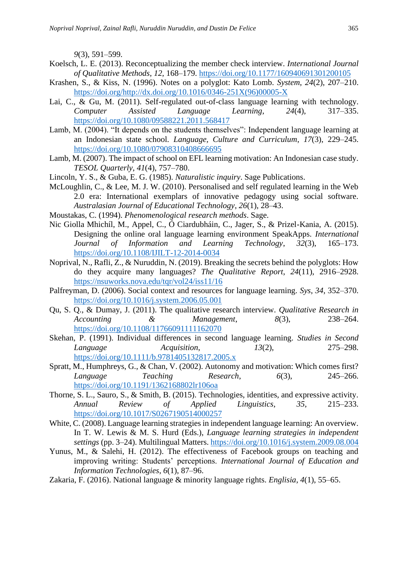*9*(3), 591–599.

- Koelsch, L. E. (2013). Reconceptualizing the member check interview. *International Journal of Qualitative Methods*, *12*, 168–179.<https://doi.org/10.1177/160940691301200105>
- Krashen, S., & Kiss, N. (1996). Notes on a polyglot: Kato Lomb. *System*, *24*(2), 207–210. [https://doi.org/http://dx.doi.org/10.1016/0346-251X\(96\)00005-X](https://doi.org/http:/dx.doi.org/10.1016/0346-251X(96)00005-X)
- Lai, C., & Gu, M. (2011). Self-regulated out-of-class language learning with technology. *Computer Assisted Language Learning*, *24*(4), 317–335. <https://doi.org/10.1080/09588221.2011.568417>
- Lamb, M. (2004). "It depends on the students themselves": Independent language learning at an Indonesian state school. *Language, Culture and Curriculum*, *17*(3), 229–245. <https://doi.org/10.1080/07908310408666695>
- Lamb, M. (2007). The impact of school on EFL learning motivation: An Indonesian case study. *TESOL Quarterly*, *41*(4), 757–780.

Lincoln, Y. S., & Guba, E. G. (1985). *Naturalistic inquiry*. Sage Publications.

- McLoughlin, C., & Lee, M. J. W. (2010). Personalised and self regulated learning in the Web 2.0 era: International exemplars of innovative pedagogy using social software. *Australasian Journal of Educational Technology*, *26*(1), 28–43.
- Moustakas, C. (1994). *Phenomenological research methods*. Sage.
- Nic Giolla Mhichíl, M., Appel, C., Ó Ciardubháin, C., Jager, S., & Prizel-Kania, A. (2015). Designing the online oral language learning environment SpeakApps. *International Journal of Information and Learning Technology*, *32*(3), 165–173. <https://doi.org/10.1108/IJILT-12-2014-0034>
- Noprival, N., Rafli, Z., & Nuruddin, N. (2019). Breaking the secrets behind the polyglots: How do they acquire many languages? *The Qualitative Report*, *24*(11), 2916–2928. <https://nsuworks.nova.edu/tqr/vol24/iss11/16>
- Palfreyman, D. (2006). Social context and resources for language learning. *Sys*, *34*, 352–370. <https://doi.org/10.1016/j.system.2006.05.001>
- Qu, S. Q., & Dumay, J. (2011). The qualitative research interview. *Qualitative Research in Accounting & Management*, *8*(3), 238–264. <https://doi.org/10.1108/11766091111162070>
- Skehan, P. (1991). Individual differences in second language learning. *Studies in Second Language Acquisition*, *13*(2), 275–298. <https://doi.org/10.1111/b.9781405132817.2005.x>
- Spratt, M., Humphreys, G., & Chan, V. (2002). Autonomy and motivation: Which comes first? *Language Teaching Research*, *6*(3), 245–266. <https://doi.org/10.1191/1362168802lr106oa>
- Thorne, S. L., Sauro, S., & Smith, B. (2015). Technologies, identities, and expressive activity. *Annual Review of Applied Linguistics*, *35*, 215–233. <https://doi.org/10.1017/S0267190514000257>
- White, C. (2008). Language learning strategies in independent language learning: An overview. In T. W. Lewis & M. S. Hurd (Eds.), *Language learning strategies in independent settings* (pp. 3–24). Multilingual Matters.<https://doi.org/10.1016/j.system.2009.08.004>
- Yunus, M., & Salehi, H. (2012). The effectiveness of Facebook groups on teaching and improving writing: Students' perceptions. *International Journal of Education and Information Technologies*, *6*(1), 87–96.
- Zakaria, F. (2016). National language & minority language rights. *Englisia*, *4*(1), 55–65.